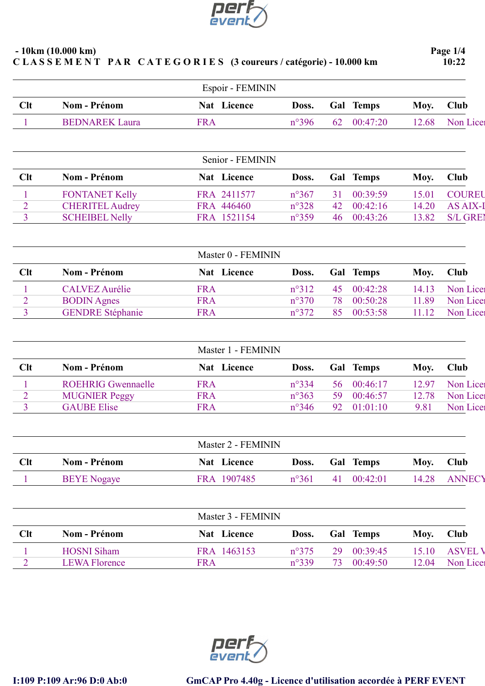

|                | $-10km(10.000 km)$<br>CLASSEMENT PAR CATEGORIES (3 coureurs / catégorie) - 10.000 km |            |                    |                |    |           | Page $1/4$<br>10:22 |                 |  |
|----------------|--------------------------------------------------------------------------------------|------------|--------------------|----------------|----|-----------|---------------------|-----------------|--|
|                |                                                                                      |            | Espoir - FEMININ   |                |    |           |                     |                 |  |
| Clt            | <b>Nom - Prénom</b>                                                                  |            | Nat Licence        | Doss.          |    | Gal Temps | Moy.                | <b>Club</b>     |  |
|                | <b>BEDNAREK Laura</b>                                                                | <b>FRA</b> |                    | $n^{\circ}396$ | 62 | 00:47:20  | 12.68               | Non Lice        |  |
|                |                                                                                      |            | Senior - FEMININ   |                |    |           |                     |                 |  |
| Clt            | <b>Nom - Prénom</b>                                                                  |            | Nat Licence        | Doss.          |    | Gal Temps | Moy.                | Club            |  |
|                | <b>FONTANET Kelly</b>                                                                |            | FRA 2411577        | $n^{\circ}367$ | 31 | 00:39:59  | 15.01               | <b>COUREU</b>   |  |
| $\overline{2}$ | <b>CHERITEL Audrey</b>                                                               |            | FRA 446460         | $n^{\circ}328$ | 42 | 00:42:16  | 14.20               | <b>AS AIX-I</b> |  |
| 3              | <b>SCHEIBEL Nelly</b>                                                                |            | FRA 1521154        | $n^{\circ}359$ | 46 | 00:43:26  | 13.82               | <b>S/L GREI</b> |  |
|                |                                                                                      |            | Master 0 - FEMININ |                |    |           |                     |                 |  |
| Clt            | <b>Nom - Prénom</b>                                                                  |            | Nat Licence        | Doss.          |    | Gal Temps | Moy.                | <b>Club</b>     |  |
|                | <b>CALVEZ Aurélie</b>                                                                | <b>FRA</b> |                    | $n^{\circ}312$ | 45 | 00:42:28  | 14.13               | Non Licer       |  |
| $\overline{2}$ | <b>BODIN</b> Agnes                                                                   | <b>FRA</b> |                    | $n^{\circ}370$ | 78 | 00:50:28  | 11.89               | Non Lice        |  |
| $\overline{3}$ | <b>GENDRE</b> Stéphanie                                                              | <b>FRA</b> |                    | $n^{\circ}372$ | 85 | 00:53:58  | 11.12               | Non Lice        |  |

|     |                           | Master 1 - FEMININ |                |     |             |       |          |
|-----|---------------------------|--------------------|----------------|-----|-------------|-------|----------|
| Clt | <b>Nom - Prénom</b>       | Nat Licence        | Doss.          |     | Gal Temps   | Moy.  | Club     |
|     | <b>ROEHRIG Gwennaelle</b> | <b>FRA</b>         | $n^{\circ}334$ |     | 56 00:46:17 | 12.97 | Non Lice |
|     | <b>MUGNIER Peggy</b>      | <b>FRA</b>         | $n^{\circ}363$ | 59. | 00:46:57    | 12.78 | Non Lice |
|     | <b>GAUBE Elise</b>        | <b>FRA</b>         | $n^{\circ}346$ | 92  | $-01:01:10$ | 9.81  | Non Lice |

|            |                    |             | Master 2 - FEMININ |                  |       |               |  |  |  |  |
|------------|--------------------|-------------|--------------------|------------------|-------|---------------|--|--|--|--|
| <b>Clt</b> | Nom - Prénom       | Nat Licence | Doss.              | <b>Gal</b> Temps | Moy.  | <b>Club</b>   |  |  |  |  |
|            | <b>BEYE</b> Nogaye | FRA 1907485 | $n^{\circ}361$     | 00:42:01<br>41   | 14.28 | <b>ANNECY</b> |  |  |  |  |
|            |                    |             |                    |                  |       |               |  |  |  |  |

|     |                      | Master 3 - FEMININ |                |    |                  |       |                |
|-----|----------------------|--------------------|----------------|----|------------------|-------|----------------|
| Clt | Nom - Prénom         | Nat Licence        | Doss.          |    | <b>Gal</b> Temps | Moy.  | <b>Club</b>    |
|     | <b>HOSNI Siham</b>   | FRA 1463153        | $n^{\circ}375$ | 29 | 00:39:45         | 15.10 | <b>ASVEL V</b> |
|     | <b>LEWA Florence</b> | FRA                | $n^{\circ}339$ | 73 | 00:49:50         | 12.04 | Non Lice       |



GENDRE Stéphanie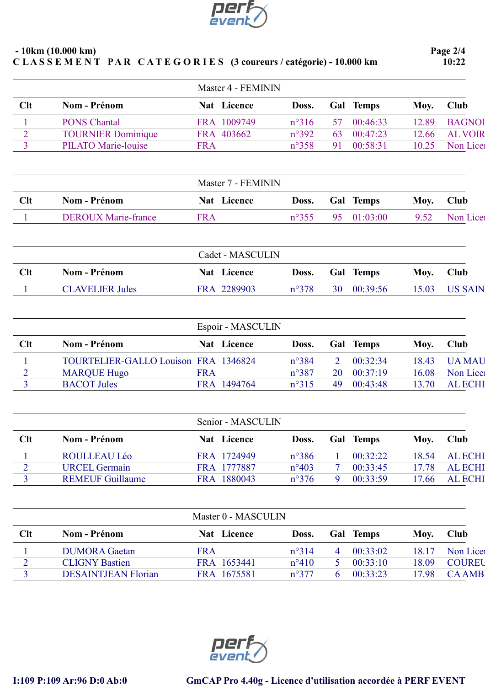

|                     | $-10km(10.000 km)$                       |            | CLASSEMENT PAR CATEGORIES (3 coureurs / catégorie) - 10.000 km |                                  |                |                      |                | Page 2/4<br>10:22          |  |
|---------------------|------------------------------------------|------------|----------------------------------------------------------------|----------------------------------|----------------|----------------------|----------------|----------------------------|--|
|                     |                                          |            | Master 4 - FEMININ                                             |                                  |                |                      |                |                            |  |
| Clt                 | <b>Nom - Prénom</b>                      |            | Nat Licence                                                    | Doss.                            |                | Gal Temps            | Moy.           | Club                       |  |
| 1                   | <b>PONS Chantal</b>                      |            | FRA 1009749                                                    | $n^{\circ}316$                   | 57             | 00:46:33             | 12.89          | <b>BAGNOI</b>              |  |
| $\overline{2}$      | <b>TOURNIER Dominique</b>                |            | FRA 403662                                                     | $n^{\circ}392$                   | 63             | 00:47:23             | 12.66          | <b>AL VOIR</b>             |  |
| 3                   | <b>PILATO Marie-louise</b>               | <b>FRA</b> |                                                                | $n^{\circ}358$                   | 91             | 00:58:31             | 10.25          | Non Licer                  |  |
|                     |                                          |            | Master 7 - FEMININ                                             |                                  |                |                      |                |                            |  |
| Clt                 | <b>Nom - Prénom</b>                      |            | Nat Licence                                                    | Doss.                            |                | Gal Temps            | Moy.           | Club                       |  |
| 1                   | <b>DEROUX Marie-france</b>               | <b>FRA</b> |                                                                | $n^{\circ}355$                   | 95             | 01:03:00             | 9.52           | Non Lice                   |  |
|                     |                                          |            | Cadet - MASCULIN                                               |                                  |                |                      |                |                            |  |
| Clt                 | <b>Nom - Prénom</b>                      |            | Nat Licence                                                    | Doss.                            |                | <b>Gal</b> Temps     | Moy.           | Club                       |  |
|                     | <b>CLAVELIER Jules</b>                   |            | FRA 2289903                                                    | $n^{\circ}378$                   | 30             | 00:39:56             | 15.03          | <b>US SAIN</b>             |  |
|                     |                                          |            | Espoir - MASCULIN                                              |                                  |                |                      |                |                            |  |
| Clt                 | <b>Nom - Prénom</b>                      |            | Nat Licence                                                    | Doss.                            |                | Gal Temps            | Moy.           | Club                       |  |
|                     |                                          |            |                                                                |                                  |                |                      |                |                            |  |
| 1                   | TOURTELIER-GALLO Louison FRA 1346824     |            |                                                                | n°384                            | $\overline{2}$ | 00:32:34             | 18.43          | <b>UA MAU</b>              |  |
| $\overline{2}$<br>3 | <b>MARQUE Hugo</b><br><b>BACOT</b> Jules | <b>FRA</b> | FRA 1494764                                                    | $n^{\circ}387$<br>$n^{\circ}315$ | 20<br>49       | 00:37:19<br>00:43:48 | 16.08<br>13.70 | Non Lice<br><b>AL ECHI</b> |  |
|                     |                                          |            |                                                                |                                  |                |                      |                |                            |  |

|     |                         |             | Senior - MASCULIN |  |           |       |                |  |  |  |
|-----|-------------------------|-------------|-------------------|--|-----------|-------|----------------|--|--|--|
| Clt | <b>Nom - Prénom</b>     | Nat Licence | Doss.             |  | Gal Temps | Moy.  | Club           |  |  |  |
|     | ROULLEAU Léo            | FRA 1724949 | $n^{\circ}386$    |  | 00:32:22  | 18.54 | <b>AL ECHI</b> |  |  |  |
|     | <b>URCEL Germain</b>    | FRA 1777887 | $n^{\circ}403$    |  | 00:33:45  | 17.78 | <b>AL ECHI</b> |  |  |  |
|     | <b>REMEUF Guillaume</b> | FRA 1880043 | $n^{\circ}376$    |  | 00:33:59  | 17.66 | <b>AL ECHI</b> |  |  |  |
|     |                         |             |                   |  |           |       |                |  |  |  |

| Master 0 - MASCULIN |                            |             |                |     |              |       |               |
|---------------------|----------------------------|-------------|----------------|-----|--------------|-------|---------------|
| <b>Clt</b>          | Nom - Prénom               | Nat Licence | Doss.          | Gal | <b>Temps</b> | Moy.  | <b>Club</b>   |
|                     | <b>DUMORA</b> Gaetan       | FRA         | $n^{\circ}314$ |     | 00:33:02     | 18.17 | Non Licer     |
|                     | <b>CLIGNY Bastien</b>      | FRA 1653441 | $n^{\circ}410$ |     | 00:33:10     | 18.09 | <b>COUREU</b> |
|                     | <b>DESAINTJEAN Florian</b> | FRA 1675581 | $n^{\circ}377$ |     | 00:33:23     | 17.98 | <b>CAAMB</b>  |
|                     |                            |             |                |     |              |       |               |

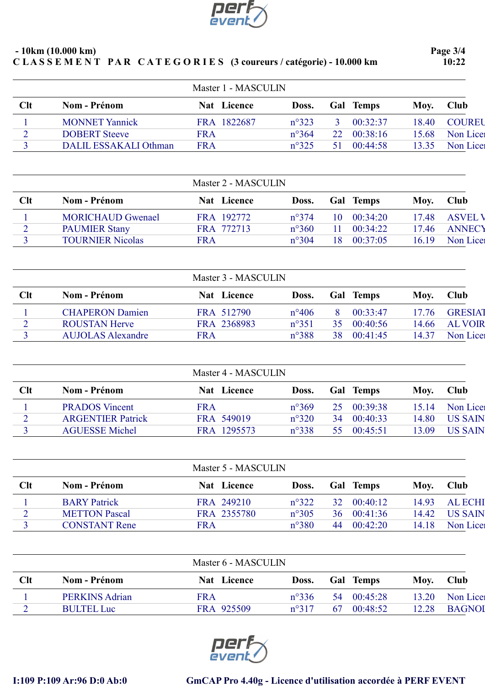

| $-10km(10.000 km)$ |  |                                                                |
|--------------------|--|----------------------------------------------------------------|
|                    |  | CLASSEMENT PAR CATEGORIES (3 coureurs / catégorie) - 10.000 km |

Page 3/4 10:22

|            |                       | Master 1 - MASCULIN |                |                 |           |       |               |
|------------|-----------------------|---------------------|----------------|-----------------|-----------|-------|---------------|
| <b>Clt</b> | Nom - Prénom          | Nat Licence         | Doss.          |                 | Gal Temps | Moy.  | <b>Club</b>   |
|            | <b>MONNET Yannick</b> | FRA 1822687         | $n^{\circ}323$ |                 | 00:32:37  | 18.40 | <b>COUREU</b> |
|            | <b>DOBERT</b> Steeve  | FRA                 | $n^{\circ}364$ | 22 <sub>1</sub> | 00:38:16  | 15.68 | Non Lice      |
|            | DALIL ESSAKALI Othman | <b>FRA</b>          | $n^{\circ}325$ |                 | 00:44:58  | 13.35 | Non Lice      |

|            |                          | Master 2 - MASCULIN |                |                |       |               |
|------------|--------------------------|---------------------|----------------|----------------|-------|---------------|
| <b>Clt</b> | <b>Nom - Prénom</b>      | <b>Nat</b> Licence  | Doss.          | Gal Temps      | Moy.  | Club          |
|            | <b>MORICHAUD Gwenael</b> | FRA 192772          | $n^{\circ}374$ | 00:34:20<br>10 | 17.48 | <b>ASVELV</b> |
|            | <b>PAUMIER Stany</b>     | FRA 772713          | $n^{\circ}360$ | 00:34:22       | 17.46 | <b>ANNECY</b> |
|            | <b>TOURNIER Nicolas</b>  | FRA                 | $n^{\circ}304$ | 00:37:05<br>18 | 16.19 | Non Lice      |

|            |                          | Master 3 - MASCULIN |                |    |                  |       |                |
|------------|--------------------------|---------------------|----------------|----|------------------|-------|----------------|
| <b>Clt</b> | Nom - Prénom             | Nat Licence         | Doss.          |    | <b>Gal Temps</b> | Moy.  | Club           |
|            | <b>CHAPERON Damien</b>   | FRA 512790          | $n^{\circ}406$ | 8. | 00:33:47         | 17.76 | <b>GRESIAT</b> |
|            | <b>ROUSTAN Herve</b>     | FRA 2368983         | $n^{\circ}351$ | 35 | 00:40:56         | 14.66 | <b>AL VOIR</b> |
|            | <b>AUJOLAS Alexandre</b> | FRA                 | $n^{\circ}388$ | 38 | 00:41:45         | 14.37 | Non Licer      |
|            |                          |                     |                |    |                  |       |                |

| Master 4 - MASCULIN |                          |             |                |     |           |       |                |  |  |  |
|---------------------|--------------------------|-------------|----------------|-----|-----------|-------|----------------|--|--|--|
| Clt                 | <b>Nom - Prénom</b>      | Nat Licence | Doss.          |     | Gal Temps | Moy.  | Club           |  |  |  |
|                     | <b>PRADOS</b> Vincent    | <b>FRA</b>  | $n^{\circ}369$ | 25. | 00:39:38  | 15.14 | Non Lice       |  |  |  |
| ി<br>∠              | <b>ARGENTIER Patrick</b> | FRA 549019  | $n^{\circ}320$ | 34  | 00:40:33  | 14.80 | <b>US SAIN</b> |  |  |  |
|                     | <b>AGUESSE Michel</b>    | FRA 1295573 | $n^{\circ}338$ | 55. | 00:45:51  | 13.09 | <b>US SAIN</b> |  |  |  |
|                     |                          |             |                |     |           |       |                |  |  |  |

| Master 5 - MASCULIN |                      |             |                |                  |       |                |  |
|---------------------|----------------------|-------------|----------------|------------------|-------|----------------|--|
| Clt                 | Nom - Prénom         | Nat Licence | Doss.          | <b>Gal</b> Temps | Moy.  | <b>Club</b>    |  |
|                     | <b>BARY</b> Patrick  | FRA 249210  | $n^{\circ}322$ | 00:40:12<br>32   | 14.93 | <b>AL ECHI</b> |  |
| $\mathcal{D}$       | <b>METTON Pascal</b> | FRA 2355780 | $n^{\circ}305$ | 00:41:36<br>36   | 14.42 | <b>US SAIN</b> |  |
|                     | <b>CONSTANT Rene</b> | FRA         | $n^{\circ}380$ | 00:42:20<br>44   | 14.18 | Non Lice       |  |

| Master 6 - MASCULIN |                     |                  |                |     |              |       |               |
|---------------------|---------------------|------------------|----------------|-----|--------------|-------|---------------|
| Clt                 | <b>Nom - Prénom</b> | Nat  <br>Licence | Doss.          | Gal | <b>Temps</b> | Moy.  | Club          |
|                     | PERKINS Adrian      | FRA              | $n^{\circ}336$ | 54  | 00:45:28     | 13.20 | Non Licer     |
|                     | <b>BULTEL Luc</b>   | FRA 925509       | $n^{\circ}317$ | -67 | 00:48:52     | 12.28 | <b>BAGNOI</b> |



## I:109 P:109 Ar:96 D:0 Ab:0 GmCAP Pro 4.40g - Licence d'utilisation accordée à PERF EVENT